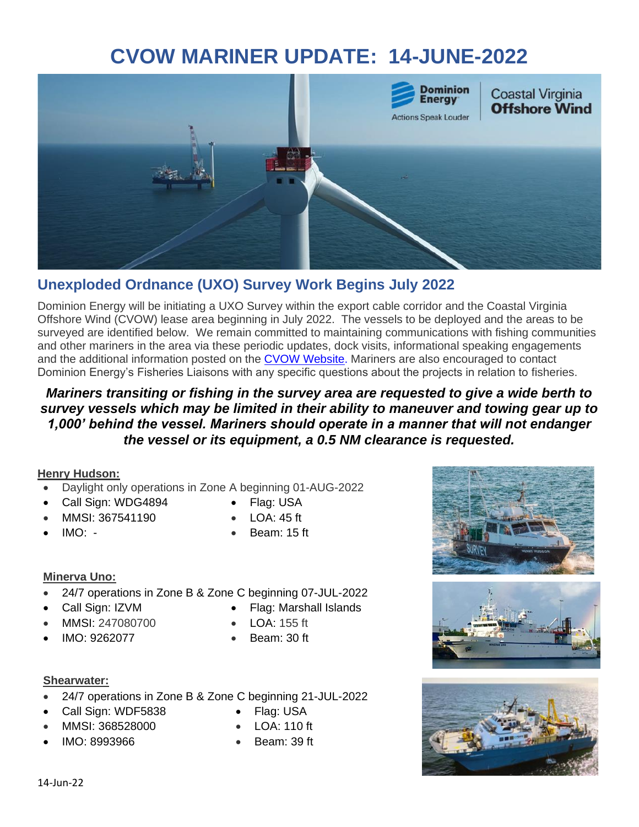# **CVOW MARINER UPDATE: 14-JUNE-2022**



# **Unexploded Ordnance (UXO) Survey Work Begins July 2022**

Dominion Energy will be initiating a UXO Survey within the export cable corridor and the Coastal Virginia Offshore Wind (CVOW) lease area beginning in July 2022. The vessels to be deployed and the areas to be surveyed are identified below. We remain committed to maintaining communications with fishing communities and other mariners in the area via these periodic updates, dock visits, informational speaking engagements and the additional information posted on the [CVOW Website.](https://www.coastalvawind.com/) Mariners are also encouraged to contact Dominion Energy's Fisheries Liaisons with any specific questions about the projects in relation to fisheries.

### *Mariners transiting or fishing in the survey area are requested to give a wide berth to survey vessels which may be limited in their ability to maneuver and towing gear up to 1,000' behind the vessel. Mariners should operate in a manner that will not endanger the vessel or its equipment, a 0.5 NM clearance is requested.*

### **Henry Hudson:**

- Daylight only operations in Zone A beginning 01-AUG-2022
- Call Sign: WDG4894 Flag: USA
- MMSI: 367541190 LOA: 45 ft
- $IMO: -$
- 
- 
- Beam: 15 ft

### **Minerva Uno:**

- 24/7 operations in Zone B & Zone C beginning 07-JUL-2022
- Call Sign: IZVM Flag: Marshall Islands
- MMSI: 247080700 LOA: 155 ft
- IMO: 9262077

### **Shearwater:**

- 24/7 operations in Zone B & Zone C beginning 21-JUL-2022
- Call Sign: WDF5838 Flag: USA
- MMSI: 368528000 LOA: 110 ft
- IMO: 8993966

• Beam: 30 ft

- 
- Beam: 39 ft